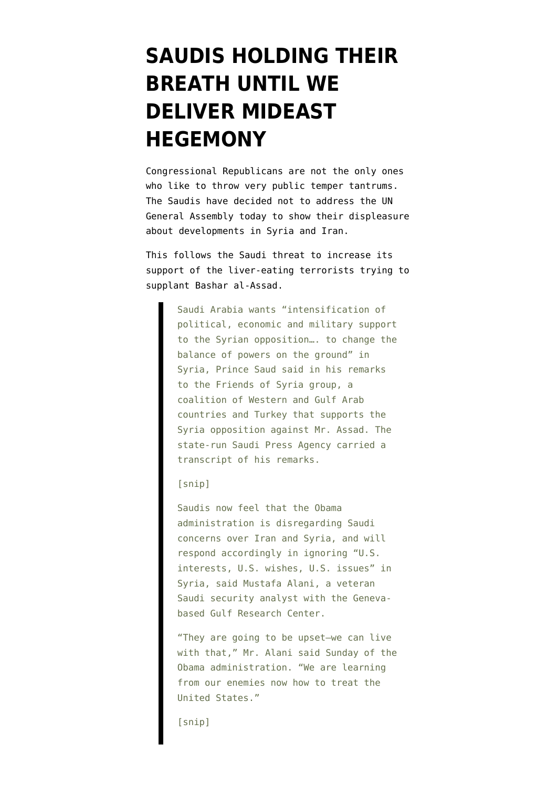## **[SAUDIS HOLDING THEIR](https://www.emptywheel.net/2013/10/01/saudis-holding-their-breath-until-we-deliver-mideast-hegemony/) [BREATH UNTIL WE](https://www.emptywheel.net/2013/10/01/saudis-holding-their-breath-until-we-deliver-mideast-hegemony/) [DELIVER MIDEAST](https://www.emptywheel.net/2013/10/01/saudis-holding-their-breath-until-we-deliver-mideast-hegemony/) [HEGEMONY](https://www.emptywheel.net/2013/10/01/saudis-holding-their-breath-until-we-deliver-mideast-hegemony/)**

Congressional Republicans are not the only ones who like to throw very public temper tantrums. The Saudis have [decided not to address](http://www.ansamed.info/ansamed/en/news/sections/politics/2013/10/01/Saudi-Arabia-cancels-General-Assembly-speech_9387486.html) the UN General Assembly today to show their displeasure about developments in Syria and Iran.

This follows the [Saudi threat](http://online.wsj.com/article/SB10001424052702303643304579104910000148876.html) to increase its support of the liver-eating terrorists trying to supplant Bashar al-Assad.

> Saudi Arabia wants "intensification of political, economic and military support to the Syrian opposition…. to change the balance of powers on the ground" in Syria, Prince Saud said in his remarks to the Friends of Syria group, a coalition of Western and Gulf Arab countries and Turkey that supports the Syria opposition against Mr. Assad. The state-run Saudi Press Agency carried a transcript of his remarks.

[snip]

Saudis now feel that the Obama administration is disregarding Saudi concerns over Iran and Syria, and will respond accordingly in ignoring "U.S. interests, U.S. wishes, U.S. issues" in Syria, said Mustafa Alani, a veteran Saudi security analyst with the Genevabased Gulf Research Center.

"They are going to be upset—we can live with that," Mr. Alani said Sunday of the Obama administration. "We are learning from our enemies now how to treat the United States."

[snip]